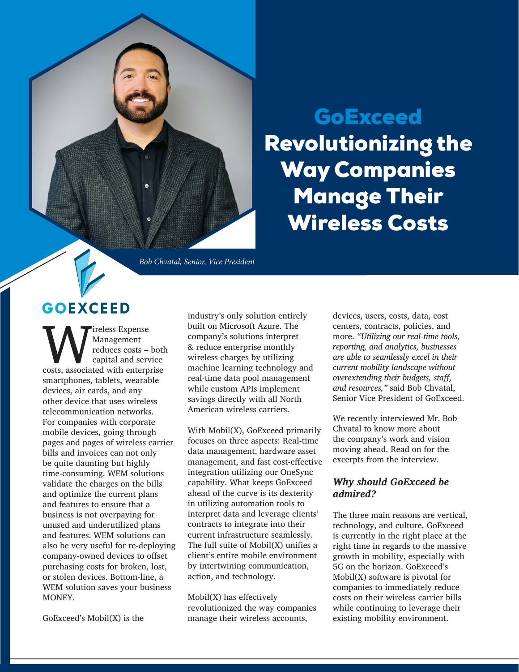

# **GoExceed** Revolutionizing the Way Companies Manage Their Wireless Costs

*Bob Chvatal, Senior, Vice President*

# **GOEXCEED**

Wireless Expense<br>
reduces costs – both<br>
capital and service<br>
costs, associated with enterprise Management reduces costs – both capital and service smartphones, tablets, wearable devices, air cards, and any other device that uses wireless telecommunication networks. For companies with corporate mobile devices, going through pages and pages of wireless carrier bills and invoices can not only be quite daunting but highly time-consuming. WEM solutions validate the charges on the bills and optimize the current plans and features to ensure that a business is not overpaying for unused and underutilized plans and features. WEM solutions can also be very useful for re-deploying company-owned devices to offset purchasing costs for broken, lost, or stolen devices. Bottom-line, a WEM solution saves your business MONEY.

industry's only solution entirely built on Microsoft Azure. The company's solutions interpret & reduce enterprise monthly wireless charges by utilizing machine learning technology and real-time data pool management while custom APIs implement savings directly with all North American wireless carriers.

With Mobil(X), GoExceed primarily focuses on three aspects: Real-time data management, hardware asset management, and fast cost-effective integration utilizing our OneSync capability. What keeps GoExceed ahead of the curve is its dexterity in utilizing automation tools to interpret data and leverage clients' contracts to integrate into their current infrastructure seamlessly. The full suite of Mobil(X) unifies a client's entire mobile environment by intertwining communication, action, and technology.

Mobil(X) has effectively revolutionized the way companies manage their wireless accounts,

devices, users, costs, data, cost centers, contracts, policies, and more. *"Utilizing our real-time tools, reporting, and analytics, businesses are able to seamlessly excel in their current mobility landscape without overextending their budgets, staff, and resources,"* said Bob Chvatal, Senior Vice President of GoExceed.

We recently interviewed Mr. Bob Chvatal to know more about the company's work and vision moving ahead. Read on for the excerpts from the interview.

### *Why should GoExceed be admired?*

The three main reasons are vertical, technology, and culture. GoExceed is currently in the right place at the right time in regards to the massive growth in mobility, especially with 5G on the horizon. GoExceed's Mobil(X) software is pivotal for companies to immediately reduce costs on their wireless carrier bills while continuing to leverage their existing mobility environment.

GoExceed's Mobil(X) is the